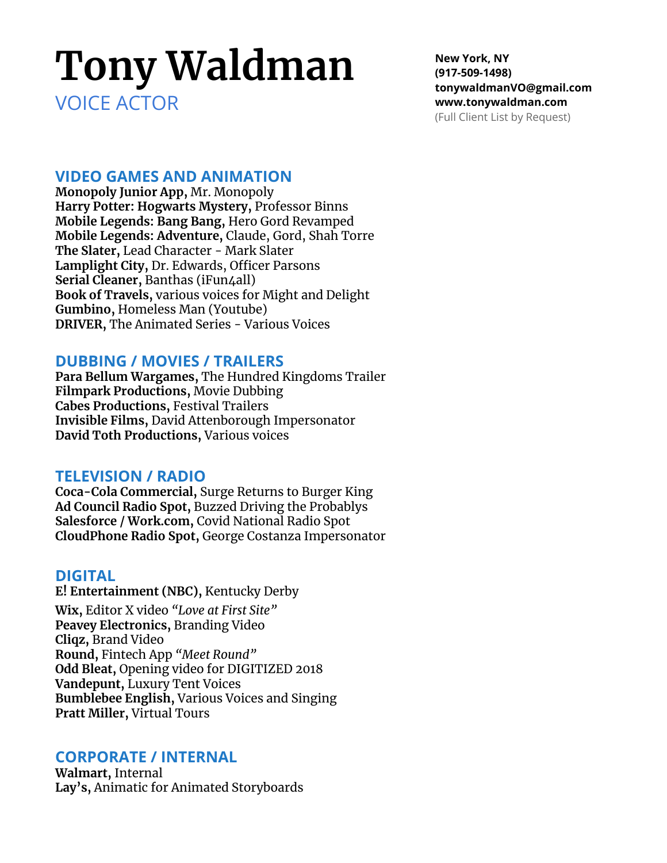# **Tony Waldman**

VOICE ACTOR

**New York, NY (917-509-1498) tonywaldmanVO@gmail.com www.tonywaldman.com** (Full Client List by Request)

## **VIDEO GAMES AND ANIMATION**

**Monopoly Junior App,** Mr. Monopoly **Harry Potter: Hogwarts Mystery,** Professor Binns **Mobile Legends: Bang Bang,** Hero Gord Revamped **Mobile Legends: Adventure,** Claude, Gord, Shah Torre **The Slater,** Lead Character - Mark Slater **Lamplight City,** Dr. Edwards, Officer Parsons **Serial Cleaner,** Banthas (iFun4all) **Book of Travels,** various voices for Might and Delight **Gumbino,** Homeless Man (Youtube) **DRIVER,** The Animated Series - Various Voices

### **DUBBING / MOVIES / TRAILERS**

**Para Bellum Wargames,** The Hundred Kingdoms Trailer **Filmpark Productions,** Movie Dubbing **Cabes Productions,** Festival Trailers **Invisible Films,** David Attenborough Impersonator **David Toth Productions,** Various voices

### **TELEVISION / RADIO**

**Coca-Cola Commercial,** Surge Returns to Burger King **Ad Council Radio Spot,** Buzzed Driving the Probablys **Salesforce / Work.com,** Covid National Radio Spot **CloudPhone Radio Spot,** George Costanza Impersonator

### **DIGITAL**

**E! Entertainment (NBC),** Kentucky Derby **Wix,** Editor X video *"Love at First Site"* **Peavey Electronics,** Branding Video **Cliqz,** Brand Video **Round,** Fintech App *"Meet Round"* **Odd Bleat,** Opening video for DIGITIZED 2018 **Vandepunt,** Luxury Tent Voices **Bumblebee English,** Various Voices and Singing **Pratt Miller,** Virtual Tours

### **CORPORATE / INTERNAL**

**Walmart,** Internal **Lay's,** Animatic for Animated Storyboards